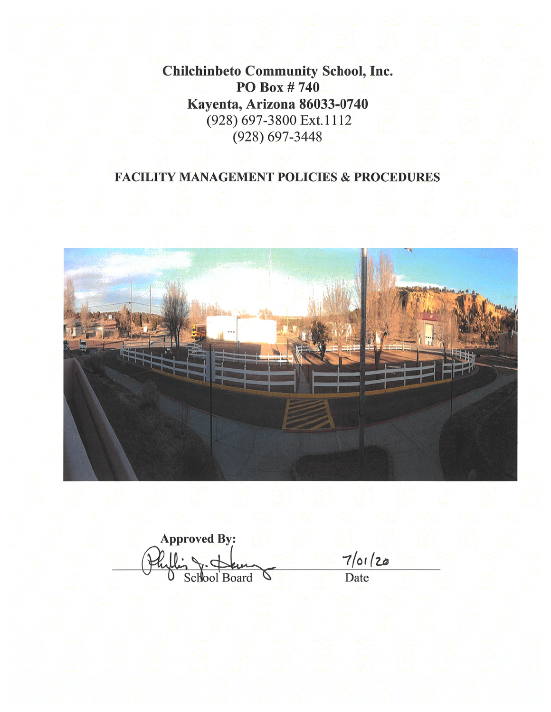**Chilchinbeto Community School, Inc.** PO Box #740 Kayenta, Arizona 86033-0740 (928) 697-3800 Ext.1112  $(928) 697 - 3448$ 

# **FACILITY MANAGEMENT POLICIES & PROCEDURES**



**Approved By:**  $\frac{7}{\text{Det}}$  Date  $\Delta$ School Board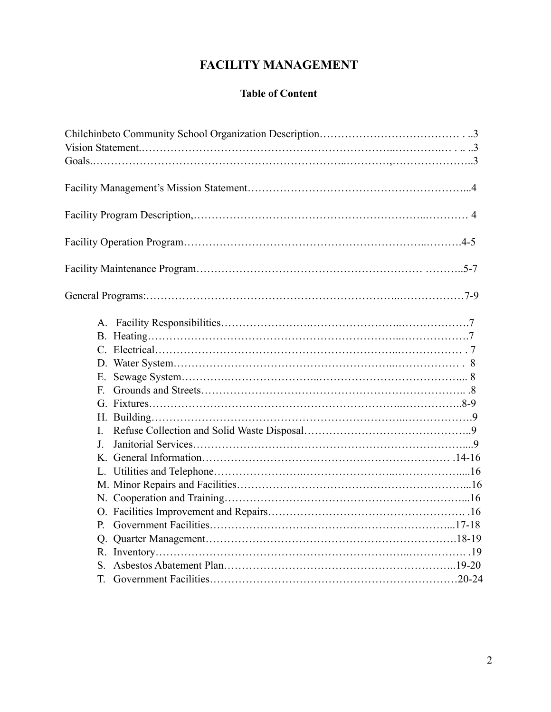# **FACILITY MANAGEMENT**

# **Table of Content**

| $F_{-}$  |  |
|----------|--|
|          |  |
|          |  |
| I.       |  |
| $\bf{I}$ |  |
|          |  |
|          |  |
|          |  |
|          |  |
|          |  |
| P.       |  |
|          |  |
|          |  |
| S.       |  |
|          |  |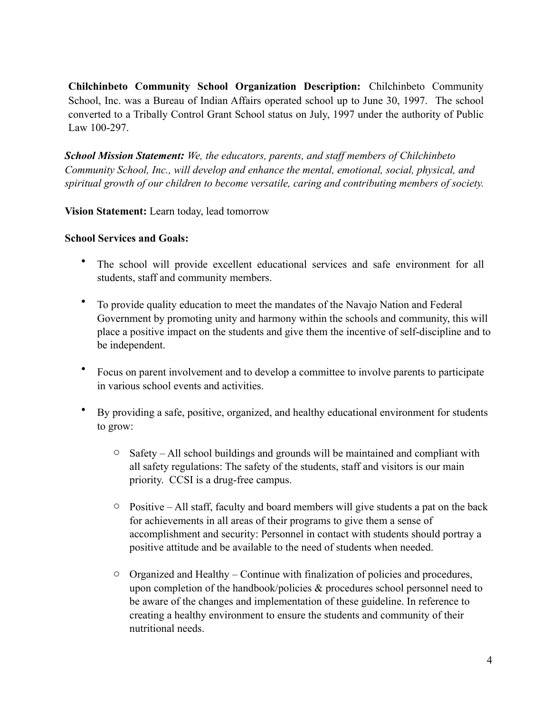**Chilchinbeto Community School Organization Description:** Chilchinbeto Community School, Inc. was a Bureau of Indian Affairs operated school up to June 30, 1997. The school converted to a Tribally Control Grant School status on July, 1997 under the authority of Public Law 100-297.

*School Mission Statement: We, the educators, parents, and staff members of Chilchinbeto Community School, Inc., will develop and enhance the mental, emotional, social, physical, and spiritual growth of our children to become versatile, caring and contributing members of society.*

**Vision Statement:** Learn today, lead tomorrow

#### **School Services and Goals:**

- The school will provide excellent educational services and safe environment for all students, staff and community members.
- To provide quality education to meet the mandates of the Navajo Nation and Federal Government by promoting unity and harmony within the schools and community, this will place a positive impact on the students and give them the incentive of self-discipline and to be independent.
- Focus on parent involvement and to develop a committee to involve parents to participate in various school events and activities.
- By providing a safe, positive, organized, and healthy educational environment for students to grow:
	- $\circ$  Safety All school buildings and grounds will be maintained and compliant with all safety regulations: The safety of the students, staff and visitors is our main priority. CCSI is a drug-free campus.
	- $\circ$  Positive All staff, faculty and board members will give students a pat on the back for achievements in all areas of their programs to give them a sense of accomplishment and security: Personnel in contact with students should portray a positive attitude and be available to the need of students when needed.
	- $\circ$  Organized and Healthy Continue with finalization of policies and procedures, upon completion of the handbook/policies  $\&$  procedures school personnel need to be aware of the changes and implementation of these guideline. In reference to creating a healthy environment to ensure the students and community of their nutritional needs.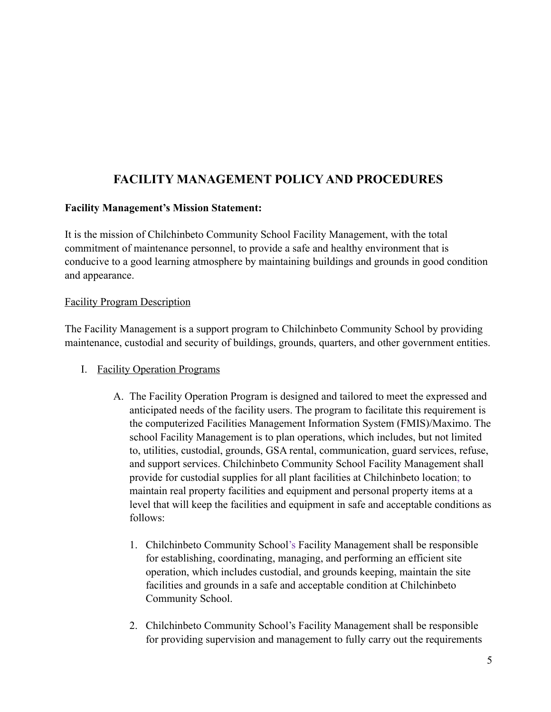# **FACILITY MANAGEMENT POLICY AND PROCEDURES**

## **Facility Management's Mission Statement:**

It is the mission of Chilchinbeto Community School Facility Management, with the total commitment of maintenance personnel, to provide a safe and healthy environment that is conducive to a good learning atmosphere by maintaining buildings and grounds in good condition and appearance.

#### Facility Program Description

The Facility Management is a support program to Chilchinbeto Community School by providing maintenance, custodial and security of buildings, grounds, quarters, and other government entities.

- I. Facility Operation Programs
	- A. The Facility Operation Program is designed and tailored to meet the expressed and anticipated needs of the facility users. The program to facilitate this requirement is the computerized Facilities Management Information System (FMIS)/Maximo. The school Facility Management is to plan operations, which includes, but not limited to, utilities, custodial, grounds, GSA rental, communication, guard services, refuse, and support services. Chilchinbeto Community School Facility Management shall provide for custodial supplies for all plant facilities at Chilchinbeto location; to maintain real property facilities and equipment and personal property items at a level that will keep the facilities and equipment in safe and acceptable conditions as follows:
		- 1. Chilchinbeto Community School's Facility Management shall be responsible for establishing, coordinating, managing, and performing an efficient site operation, which includes custodial, and grounds keeping, maintain the site facilities and grounds in a safe and acceptable condition at Chilchinbeto Community School.
		- 2. Chilchinbeto Community School's Facility Management shall be responsible for providing supervision and management to fully carry out the requirements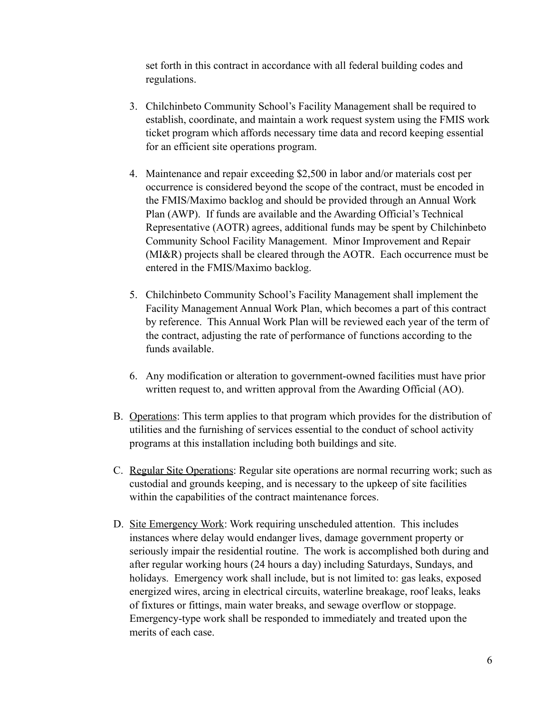set forth in this contract in accordance with all federal building codes and regulations.

- 3. Chilchinbeto Community School's Facility Management shall be required to establish, coordinate, and maintain a work request system using the FMIS work ticket program which affords necessary time data and record keeping essential for an efficient site operations program.
- 4. Maintenance and repair exceeding \$2,500 in labor and/or materials cost per occurrence is considered beyond the scope of the contract, must be encoded in the FMIS/Maximo backlog and should be provided through an Annual Work Plan (AWP). If funds are available and the Awarding Official's Technical Representative (AOTR) agrees, additional funds may be spent by Chilchinbeto Community School Facility Management. Minor Improvement and Repair (MI&R) projects shall be cleared through the AOTR. Each occurrence must be entered in the FMIS/Maximo backlog.
- 5. Chilchinbeto Community School's Facility Management shall implement the Facility Management Annual Work Plan, which becomes a part of this contract by reference. This Annual Work Plan will be reviewed each year of the term of the contract, adjusting the rate of performance of functions according to the funds available.
- 6. Any modification or alteration to government-owned facilities must have prior written request to, and written approval from the Awarding Official (AO).
- B. Operations: This term applies to that program which provides for the distribution of utilities and the furnishing of services essential to the conduct of school activity programs at this installation including both buildings and site.
- C. Regular Site Operations: Regular site operations are normal recurring work; such as custodial and grounds keeping, and is necessary to the upkeep of site facilities within the capabilities of the contract maintenance forces.
- D. Site Emergency Work: Work requiring unscheduled attention. This includes instances where delay would endanger lives, damage government property or seriously impair the residential routine. The work is accomplished both during and after regular working hours (24 hours a day) including Saturdays, Sundays, and holidays. Emergency work shall include, but is not limited to: gas leaks, exposed energized wires, arcing in electrical circuits, waterline breakage, roof leaks, leaks of fixtures or fittings, main water breaks, and sewage overflow or stoppage. Emergency-type work shall be responded to immediately and treated upon the merits of each case.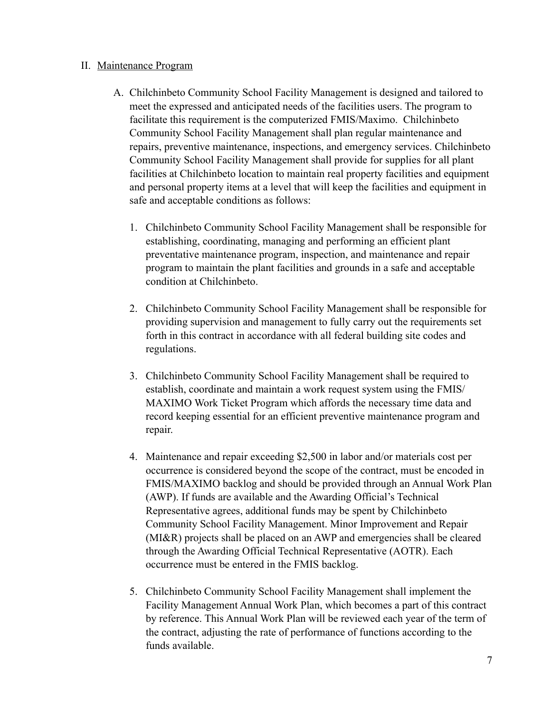#### II. Maintenance Program

- A. Chilchinbeto Community School Facility Management is designed and tailored to meet the expressed and anticipated needs of the facilities users. The program to facilitate this requirement is the computerized FMIS/Maximo. Chilchinbeto Community School Facility Management shall plan regular maintenance and repairs, preventive maintenance, inspections, and emergency services. Chilchinbeto Community School Facility Management shall provide for supplies for all plant facilities at Chilchinbeto location to maintain real property facilities and equipment and personal property items at a level that will keep the facilities and equipment in safe and acceptable conditions as follows:
	- 1. Chilchinbeto Community School Facility Management shall be responsible for establishing, coordinating, managing and performing an efficient plant preventative maintenance program, inspection, and maintenance and repair program to maintain the plant facilities and grounds in a safe and acceptable condition at Chilchinbeto.
	- 2. Chilchinbeto Community School Facility Management shall be responsible for providing supervision and management to fully carry out the requirements set forth in this contract in accordance with all federal building site codes and regulations.
	- 3. Chilchinbeto Community School Facility Management shall be required to establish, coordinate and maintain a work request system using the FMIS/ MAXIMO Work Ticket Program which affords the necessary time data and record keeping essential for an efficient preventive maintenance program and repair.
	- 4. Maintenance and repair exceeding \$2,500 in labor and/or materials cost per occurrence is considered beyond the scope of the contract, must be encoded in FMIS/MAXIMO backlog and should be provided through an Annual Work Plan (AWP). If funds are available and the Awarding Official's Technical Representative agrees, additional funds may be spent by Chilchinbeto Community School Facility Management. Minor Improvement and Repair (MI&R) projects shall be placed on an AWP and emergencies shall be cleared through the Awarding Official Technical Representative (AOTR). Each occurrence must be entered in the FMIS backlog.
	- 5. Chilchinbeto Community School Facility Management shall implement the Facility Management Annual Work Plan, which becomes a part of this contract by reference. This Annual Work Plan will be reviewed each year of the term of the contract, adjusting the rate of performance of functions according to the funds available.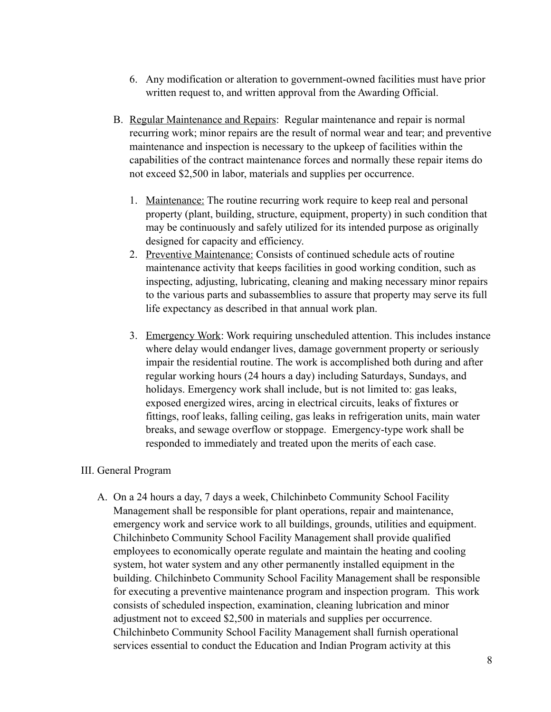- 6. Any modification or alteration to government-owned facilities must have prior written request to, and written approval from the Awarding Official.
- B. Regular Maintenance and Repairs: Regular maintenance and repair is normal recurring work; minor repairs are the result of normal wear and tear; and preventive maintenance and inspection is necessary to the upkeep of facilities within the capabilities of the contract maintenance forces and normally these repair items do not exceed \$2,500 in labor, materials and supplies per occurrence.
	- 1. Maintenance: The routine recurring work require to keep real and personal property (plant, building, structure, equipment, property) in such condition that may be continuously and safely utilized for its intended purpose as originally designed for capacity and efficiency.
	- 2. Preventive Maintenance: Consists of continued schedule acts of routine maintenance activity that keeps facilities in good working condition, such as inspecting, adjusting, lubricating, cleaning and making necessary minor repairs to the various parts and subassemblies to assure that property may serve its full life expectancy as described in that annual work plan.
	- 3. Emergency Work: Work requiring unscheduled attention. This includes instance where delay would endanger lives, damage government property or seriously impair the residential routine. The work is accomplished both during and after regular working hours (24 hours a day) including Saturdays, Sundays, and holidays. Emergency work shall include, but is not limited to: gas leaks, exposed energized wires, arcing in electrical circuits, leaks of fixtures or fittings, roof leaks, falling ceiling, gas leaks in refrigeration units, main water breaks, and sewage overflow or stoppage. Emergency-type work shall be responded to immediately and treated upon the merits of each case.

## III. General Program

A. On a 24 hours a day, 7 days a week, Chilchinbeto Community School Facility Management shall be responsible for plant operations, repair and maintenance, emergency work and service work to all buildings, grounds, utilities and equipment. Chilchinbeto Community School Facility Management shall provide qualified employees to economically operate regulate and maintain the heating and cooling system, hot water system and any other permanently installed equipment in the building. Chilchinbeto Community School Facility Management shall be responsible for executing a preventive maintenance program and inspection program. This work consists of scheduled inspection, examination, cleaning lubrication and minor adjustment not to exceed \$2,500 in materials and supplies per occurrence. Chilchinbeto Community School Facility Management shall furnish operational services essential to conduct the Education and Indian Program activity at this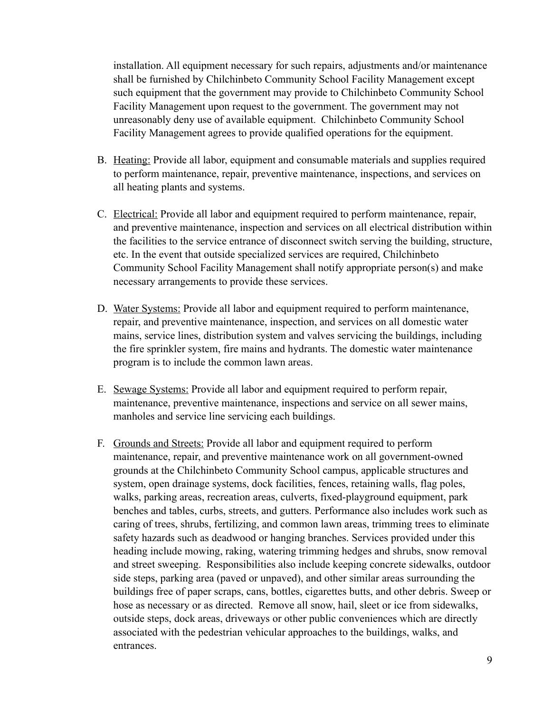installation. All equipment necessary for such repairs, adjustments and/or maintenance shall be furnished by Chilchinbeto Community School Facility Management except such equipment that the government may provide to Chilchinbeto Community School Facility Management upon request to the government. The government may not unreasonably deny use of available equipment. Chilchinbeto Community School Facility Management agrees to provide qualified operations for the equipment.

- B. Heating: Provide all labor, equipment and consumable materials and supplies required to perform maintenance, repair, preventive maintenance, inspections, and services on all heating plants and systems.
- C. Electrical: Provide all labor and equipment required to perform maintenance, repair, and preventive maintenance, inspection and services on all electrical distribution within the facilities to the service entrance of disconnect switch serving the building, structure, etc. In the event that outside specialized services are required, Chilchinbeto Community School Facility Management shall notify appropriate person(s) and make necessary arrangements to provide these services.
- D. Water Systems: Provide all labor and equipment required to perform maintenance, repair, and preventive maintenance, inspection, and services on all domestic water mains, service lines, distribution system and valves servicing the buildings, including the fire sprinkler system, fire mains and hydrants. The domestic water maintenance program is to include the common lawn areas.
- E. Sewage Systems: Provide all labor and equipment required to perform repair, maintenance, preventive maintenance, inspections and service on all sewer mains, manholes and service line servicing each buildings.
- F. Grounds and Streets: Provide all labor and equipment required to perform maintenance, repair, and preventive maintenance work on all government-owned grounds at the Chilchinbeto Community School campus, applicable structures and system, open drainage systems, dock facilities, fences, retaining walls, flag poles, walks, parking areas, recreation areas, culverts, fixed-playground equipment, park benches and tables, curbs, streets, and gutters. Performance also includes work such as caring of trees, shrubs, fertilizing, and common lawn areas, trimming trees to eliminate safety hazards such as deadwood or hanging branches. Services provided under this heading include mowing, raking, watering trimming hedges and shrubs, snow removal and street sweeping. Responsibilities also include keeping concrete sidewalks, outdoor side steps, parking area (paved or unpaved), and other similar areas surrounding the buildings free of paper scraps, cans, bottles, cigarettes butts, and other debris. Sweep or hose as necessary or as directed. Remove all snow, hail, sleet or ice from sidewalks, outside steps, dock areas, driveways or other public conveniences which are directly associated with the pedestrian vehicular approaches to the buildings, walks, and entrances.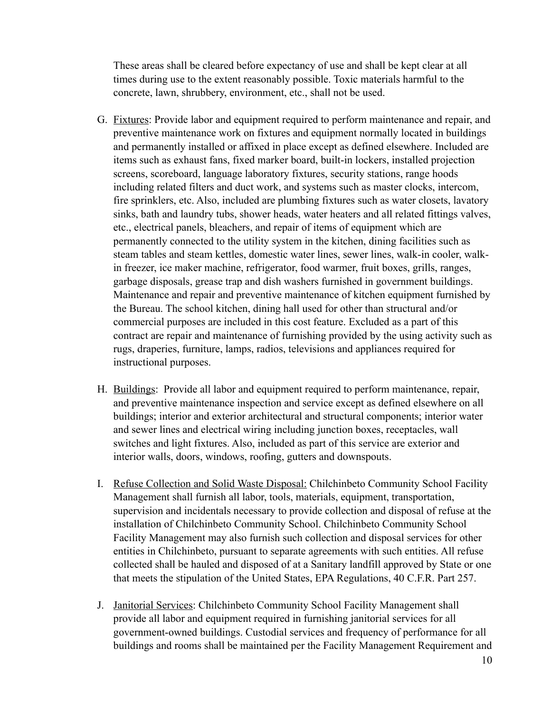These areas shall be cleared before expectancy of use and shall be kept clear at all times during use to the extent reasonably possible. Toxic materials harmful to the concrete, lawn, shrubbery, environment, etc., shall not be used.

- G. Fixtures: Provide labor and equipment required to perform maintenance and repair, and preventive maintenance work on fixtures and equipment normally located in buildings and permanently installed or affixed in place except as defined elsewhere. Included are items such as exhaust fans, fixed marker board, built-in lockers, installed projection screens, scoreboard, language laboratory fixtures, security stations, range hoods including related filters and duct work, and systems such as master clocks, intercom, fire sprinklers, etc. Also, included are plumbing fixtures such as water closets, lavatory sinks, bath and laundry tubs, shower heads, water heaters and all related fittings valves, etc., electrical panels, bleachers, and repair of items of equipment which are permanently connected to the utility system in the kitchen, dining facilities such as steam tables and steam kettles, domestic water lines, sewer lines, walk-in cooler, walkin freezer, ice maker machine, refrigerator, food warmer, fruit boxes, grills, ranges, garbage disposals, grease trap and dish washers furnished in government buildings. Maintenance and repair and preventive maintenance of kitchen equipment furnished by the Bureau. The school kitchen, dining hall used for other than structural and/or commercial purposes are included in this cost feature. Excluded as a part of this contract are repair and maintenance of furnishing provided by the using activity such as rugs, draperies, furniture, lamps, radios, televisions and appliances required for instructional purposes.
- H. Buildings: Provide all labor and equipment required to perform maintenance, repair, and preventive maintenance inspection and service except as defined elsewhere on all buildings; interior and exterior architectural and structural components; interior water and sewer lines and electrical wiring including junction boxes, receptacles, wall switches and light fixtures. Also, included as part of this service are exterior and interior walls, doors, windows, roofing, gutters and downspouts.
- I. Refuse Collection and Solid Waste Disposal: Chilchinbeto Community School Facility Management shall furnish all labor, tools, materials, equipment, transportation, supervision and incidentals necessary to provide collection and disposal of refuse at the installation of Chilchinbeto Community School. Chilchinbeto Community School Facility Management may also furnish such collection and disposal services for other entities in Chilchinbeto, pursuant to separate agreements with such entities. All refuse collected shall be hauled and disposed of at a Sanitary landfill approved by State or one that meets the stipulation of the United States, EPA Regulations, 40 C.F.R. Part 257.
- J. Janitorial Services: Chilchinbeto Community School Facility Management shall provide all labor and equipment required in furnishing janitorial services for all government-owned buildings. Custodial services and frequency of performance for all buildings and rooms shall be maintained per the Facility Management Requirement and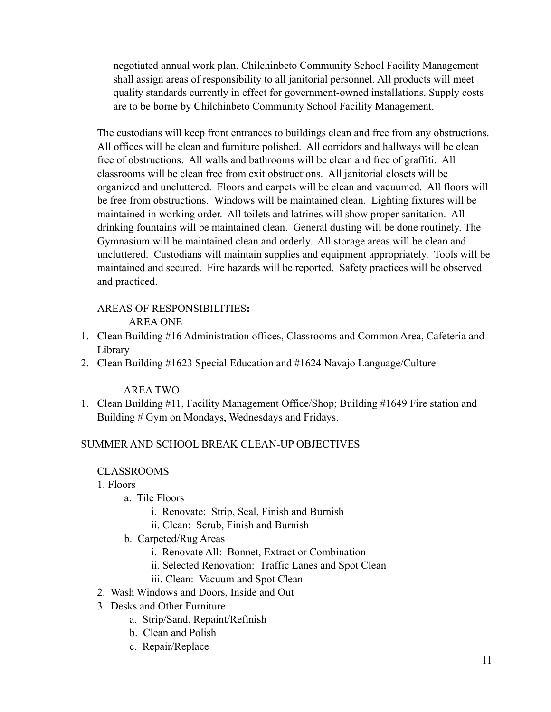negotiated annual work plan. Chilchinbeto Community School Facility Management shall assign areas of responsibility to all janitorial personnel. All products will meet quality standards currently in effect for government-owned installations. Supply costs are to be borne by Chilchinbeto Community School Facility Management.

The custodians will keep front entrances to buildings clean and free from any obstructions. All offices will be clean and furniture polished. All corridors and hallways will be clean free of obstructions. All walls and bathrooms will be clean and free of graffiti. All classrooms will be clean free from exit obstructions. All janitorial closets will be organized and uncluttered. Floors and carpets will be clean and vacuumed. All floors will be free from obstructions. Windows will be maintained clean. Lighting fixtures will be maintained in working order. All toilets and latrines will show proper sanitation. All drinking fountains will be maintained clean. General dusting will be done routinely. The Gymnasium will be maintained clean and orderly. All storage areas will be clean and uncluttered. Custodians will maintain supplies and equipment appropriately. Tools will be maintained and secured. Fire hazards will be reported. Safety practices will be observed and practiced.

#### AREAS OF RESPONSIBILITIES**:** AREA ONE

- 1. Clean Building #16 Administration offices, Classrooms and Common Area, Cafeteria and Library
- 2. Clean Building #1623 Special Education and #1624 Navajo Language/Culture

## AREA TWO

1. Clean Building #11, Facility Management Office/Shop; Building #1649 Fire station and Building # Gym on Mondays, Wednesdays and Fridays.

## SUMMER AND SCHOOL BREAK CLEAN-UP OBJECTIVES

## CLASSROOMS

1. Floors

- a. Tile Floors
	- i. Renovate: Strip, Seal, Finish and Burnish
	- ii. Clean: Scrub, Finish and Burnish
- b. Carpeted/Rug Areas
	- i. Renovate All: Bonnet, Extract or Combination
	- ii. Selected Renovation: Traffic Lanes and Spot Clean
	- iii. Clean: Vacuum and Spot Clean
- 2. Wash Windows and Doors, Inside and Out
- 3. Desks and Other Furniture
	- a. Strip/Sand, Repaint/Refinish
	- b. Clean and Polish
	- c. Repair/Replace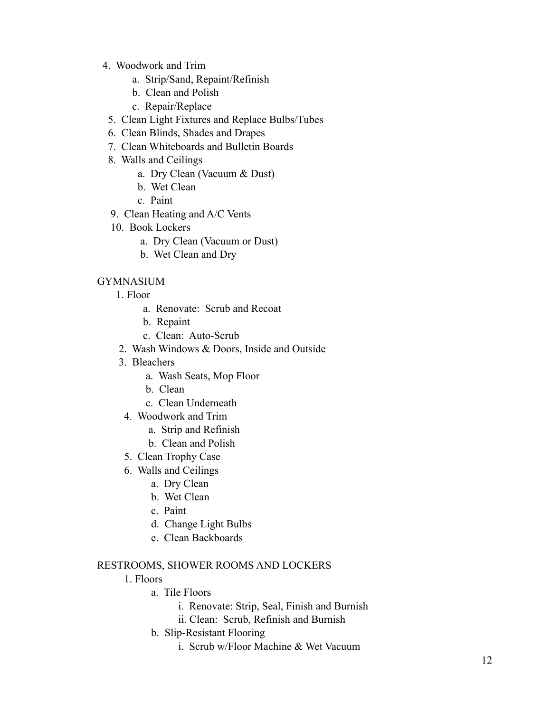- 4. Woodwork and Trim
	- a. Strip/Sand, Repaint/Refinish
	- b. Clean and Polish
	- c. Repair/Replace
	- 5. Clean Light Fixtures and Replace Bulbs/Tubes
	- 6. Clean Blinds, Shades and Drapes
	- 7. Clean Whiteboards and Bulletin Boards
	- 8. Walls and Ceilings
		- a. Dry Clean (Vacuum & Dust)
		- b. Wet Clean
		- c. Paint
	- 9. Clean Heating and A/C Vents
	- 10. Book Lockers
		- a. Dry Clean (Vacuum or Dust)
		- b. Wet Clean and Dry

## GYMNASIUM

- 1. Floor
	- a. Renovate: Scrub and Recoat
	- b. Repaint
	- c. Clean: Auto-Scrub
- 2. Wash Windows & Doors, Inside and Outside
- 3. Bleachers
	- a. Wash Seats, Mop Floor
	- b. Clean
	- c. Clean Underneath
- 4. Woodwork and Trim
	- a. Strip and Refinish
	- b. Clean and Polish
- 5. Clean Trophy Case
- 6. Walls and Ceilings
	- a. Dry Clean
	- b. Wet Clean
	- c. Paint
	- d. Change Light Bulbs
	- e. Clean Backboards

#### RESTROOMS, SHOWER ROOMS AND LOCKERS

- 1. Floors
	- a. Tile Floors
		- i. Renovate: Strip, Seal, Finish and Burnish
		- ii. Clean: Scrub, Refinish and Burnish
	- b. Slip-Resistant Flooring
		- i. Scrub w/Floor Machine & Wet Vacuum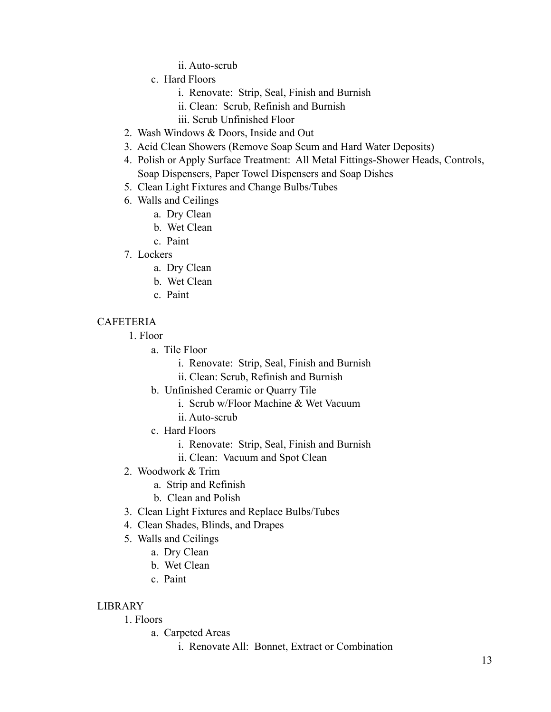ii. Auto-scrub

- c. Hard Floors
	- i. Renovate: Strip, Seal, Finish and Burnish
	- ii. Clean: Scrub, Refinish and Burnish
	- iii. Scrub Unfinished Floor
- 2. Wash Windows & Doors, Inside and Out
- 3. Acid Clean Showers (Remove Soap Scum and Hard Water Deposits)
- 4. Polish or Apply Surface Treatment: All Metal Fittings-Shower Heads, Controls, Soap Dispensers, Paper Towel Dispensers and Soap Dishes
- 5. Clean Light Fixtures and Change Bulbs/Tubes
- 6. Walls and Ceilings
	- a. Dry Clean
	- b. Wet Clean
	- c. Paint
- 7. Lockers
	- a. Dry Clean
	- b. Wet Clean
	- c. Paint

## CAFETERIA

- 1. Floor
	- a. Tile Floor
		- i. Renovate: Strip, Seal, Finish and Burnish
		- ii. Clean: Scrub, Refinish and Burnish
	- b. Unfinished Ceramic or Quarry Tile
		- i. Scrub w/Floor Machine & Wet Vacuum
		- ii. Auto-scrub
	- c. Hard Floors
		- i. Renovate: Strip, Seal, Finish and Burnish
		- ii. Clean: Vacuum and Spot Clean
- 2. Woodwork & Trim
	- a. Strip and Refinish
	- b. Clean and Polish
- 3. Clean Light Fixtures and Replace Bulbs/Tubes
- 4. Clean Shades, Blinds, and Drapes
- 5. Walls and Ceilings
	- a. Dry Clean
	- b. Wet Clean
	- c. Paint

## LIBRARY

# 1. Floors

- a. Carpeted Areas
	- i. Renovate All: Bonnet, Extract or Combination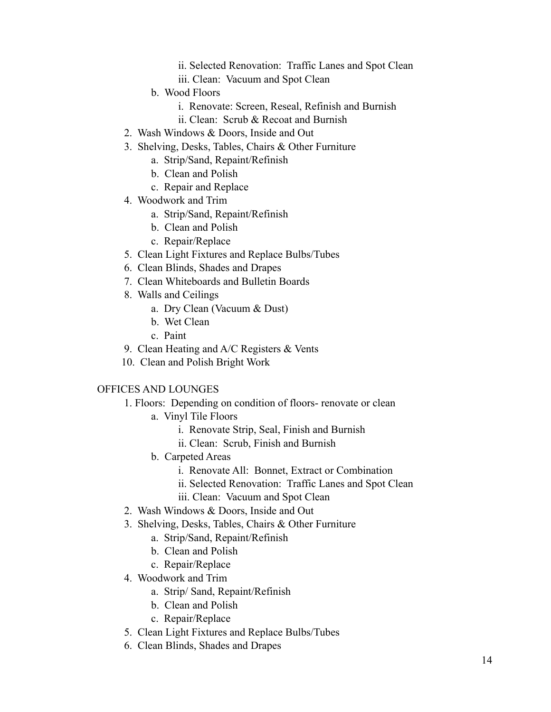- ii. Selected Renovation: Traffic Lanes and Spot Clean
- iii. Clean: Vacuum and Spot Clean
- b. Wood Floors
	- i. Renovate: Screen, Reseal, Refinish and Burnish
	- ii. Clean: Scrub & Recoat and Burnish
- 2. Wash Windows & Doors, Inside and Out
- 3. Shelving, Desks, Tables, Chairs & Other Furniture
	- a. Strip/Sand, Repaint/Refinish
	- b. Clean and Polish
	- c. Repair and Replace
- 4. Woodwork and Trim
	- a. Strip/Sand, Repaint/Refinish
	- b. Clean and Polish
	- c. Repair/Replace
- 5. Clean Light Fixtures and Replace Bulbs/Tubes
- 6. Clean Blinds, Shades and Drapes
- 7. Clean Whiteboards and Bulletin Boards
- 8. Walls and Ceilings
	- a. Dry Clean (Vacuum & Dust)
	- b. Wet Clean
	- c. Paint
- 9. Clean Heating and A/C Registers & Vents
- 10. Clean and Polish Bright Work

#### OFFICES AND LOUNGES

- 1. Floors: Depending on condition of floors- renovate or clean
	- a. Vinyl Tile Floors
		- i. Renovate Strip, Seal, Finish and Burnish
		- ii. Clean: Scrub, Finish and Burnish
	- b. Carpeted Areas
		- i. Renovate All: Bonnet, Extract or Combination
		- ii. Selected Renovation: Traffic Lanes and Spot Clean
		- iii. Clean: Vacuum and Spot Clean
- 2. Wash Windows & Doors, Inside and Out
- 3. Shelving, Desks, Tables, Chairs & Other Furniture
	- a. Strip/Sand, Repaint/Refinish
	- b. Clean and Polish
	- c. Repair/Replace
- 4. Woodwork and Trim
	- a. Strip/ Sand, Repaint/Refinish
	- b. Clean and Polish
	- c. Repair/Replace
- 5. Clean Light Fixtures and Replace Bulbs/Tubes
- 6. Clean Blinds, Shades and Drapes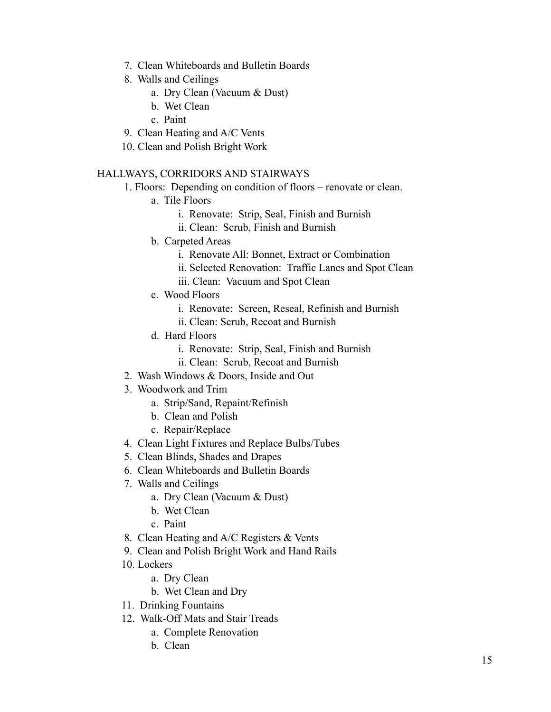- 7. Clean Whiteboards and Bulletin Boards
- 8. Walls and Ceilings
	- a. Dry Clean (Vacuum & Dust)
	- b. Wet Clean
	- c. Paint
- 9. Clean Heating and A/C Vents
- 10. Clean and Polish Bright Work

#### HALLWAYS, CORRIDORS AND STAIRWAYS

- 1. Floors: Depending on condition of floors renovate or clean.
	- a. Tile Floors
		- i. Renovate: Strip, Seal, Finish and Burnish
		- ii. Clean: Scrub, Finish and Burnish
	- b. Carpeted Areas
		- i. Renovate All: Bonnet, Extract or Combination
		- ii. Selected Renovation: Traffic Lanes and Spot Clean
		- iii. Clean: Vacuum and Spot Clean
	- c. Wood Floors
		- i. Renovate: Screen, Reseal, Refinish and Burnish
		- ii. Clean: Scrub, Recoat and Burnish
	- d. Hard Floors
		- i. Renovate: Strip, Seal, Finish and Burnish
		- ii. Clean: Scrub, Recoat and Burnish
- 2. Wash Windows & Doors, Inside and Out
- 3. Woodwork and Trim
	- a. Strip/Sand, Repaint/Refinish
	- b. Clean and Polish
	- c. Repair/Replace
- 4. Clean Light Fixtures and Replace Bulbs/Tubes
- 5. Clean Blinds, Shades and Drapes
- 6. Clean Whiteboards and Bulletin Boards
- 7. Walls and Ceilings
	- a. Dry Clean (Vacuum & Dust)
	- b. Wet Clean
	- c. Paint
- 8. Clean Heating and A/C Registers & Vents
- 9. Clean and Polish Bright Work and Hand Rails
- 10. Lockers
	- a. Dry Clean
	- b. Wet Clean and Dry
- 11. Drinking Fountains
- 12. Walk-Off Mats and Stair Treads
	- a. Complete Renovation
	- b. Clean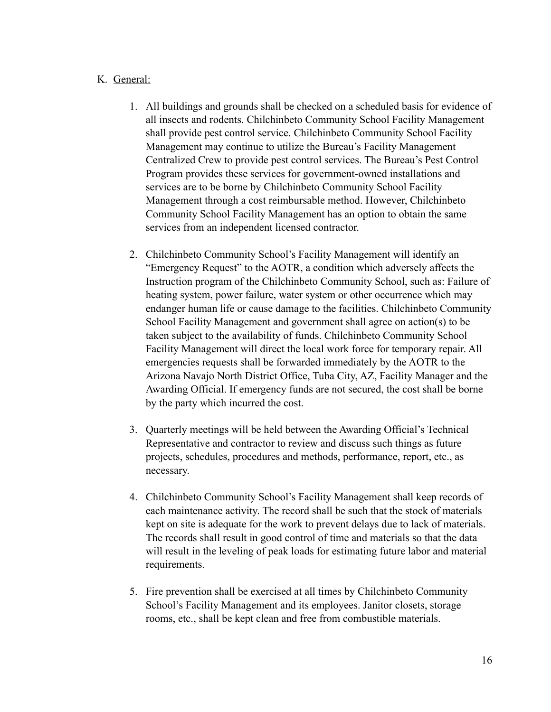# K. General:

- 1. All buildings and grounds shall be checked on a scheduled basis for evidence of all insects and rodents. Chilchinbeto Community School Facility Management shall provide pest control service. Chilchinbeto Community School Facility Management may continue to utilize the Bureau's Facility Management Centralized Crew to provide pest control services. The Bureau's Pest Control Program provides these services for government-owned installations and services are to be borne by Chilchinbeto Community School Facility Management through a cost reimbursable method. However, Chilchinbeto Community School Facility Management has an option to obtain the same services from an independent licensed contractor.
- 2. Chilchinbeto Community School's Facility Management will identify an "Emergency Request" to the AOTR, a condition which adversely affects the Instruction program of the Chilchinbeto Community School, such as: Failure of heating system, power failure, water system or other occurrence which may endanger human life or cause damage to the facilities. Chilchinbeto Community School Facility Management and government shall agree on action(s) to be taken subject to the availability of funds. Chilchinbeto Community School Facility Management will direct the local work force for temporary repair. All emergencies requests shall be forwarded immediately by the AOTR to the Arizona Navajo North District Office, Tuba City, AZ, Facility Manager and the Awarding Official. If emergency funds are not secured, the cost shall be borne by the party which incurred the cost.
- 3. Quarterly meetings will be held between the Awarding Official's Technical Representative and contractor to review and discuss such things as future projects, schedules, procedures and methods, performance, report, etc., as necessary.
- 4. Chilchinbeto Community School's Facility Management shall keep records of each maintenance activity. The record shall be such that the stock of materials kept on site is adequate for the work to prevent delays due to lack of materials. The records shall result in good control of time and materials so that the data will result in the leveling of peak loads for estimating future labor and material requirements.
- 5. Fire prevention shall be exercised at all times by Chilchinbeto Community School's Facility Management and its employees. Janitor closets, storage rooms, etc., shall be kept clean and free from combustible materials.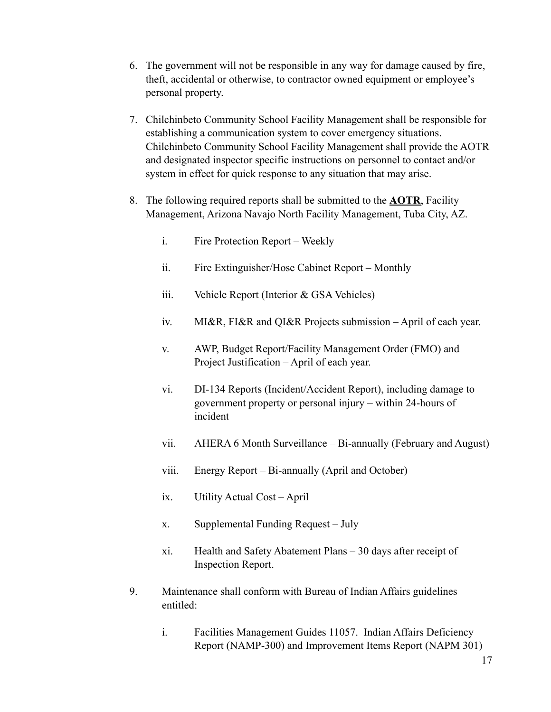- 6. The government will not be responsible in any way for damage caused by fire, theft, accidental or otherwise, to contractor owned equipment or employee's personal property.
- 7. Chilchinbeto Community School Facility Management shall be responsible for establishing a communication system to cover emergency situations. Chilchinbeto Community School Facility Management shall provide the AOTR and designated inspector specific instructions on personnel to contact and/or system in effect for quick response to any situation that may arise.
- 8. The following required reports shall be submitted to the **AOTR**, Facility Management, Arizona Navajo North Facility Management, Tuba City, AZ.
	- i. Fire Protection Report Weekly
	- ii. Fire Extinguisher/Hose Cabinet Report Monthly
	- iii. Vehicle Report (Interior & GSA Vehicles)
	- iv. MI&R, FI&R and QI&R Projects submission April of each year.
	- v. AWP, Budget Report/Facility Management Order (FMO) and Project Justification – April of each year.
	- vi. DI-134 Reports (Incident/Accident Report), including damage to government property or personal injury – within 24-hours of incident
	- vii. AHERA 6 Month Surveillance Bi-annually (February and August)
	- viii. Energy Report Bi-annually (April and October)
	- ix. Utility Actual Cost April
	- x. Supplemental Funding Request July
	- xi. Health and Safety Abatement Plans 30 days after receipt of Inspection Report.
- 9. Maintenance shall conform with Bureau of Indian Affairs guidelines entitled:
	- i. Facilities Management Guides 11057. Indian Affairs Deficiency Report (NAMP-300) and Improvement Items Report (NAPM 301)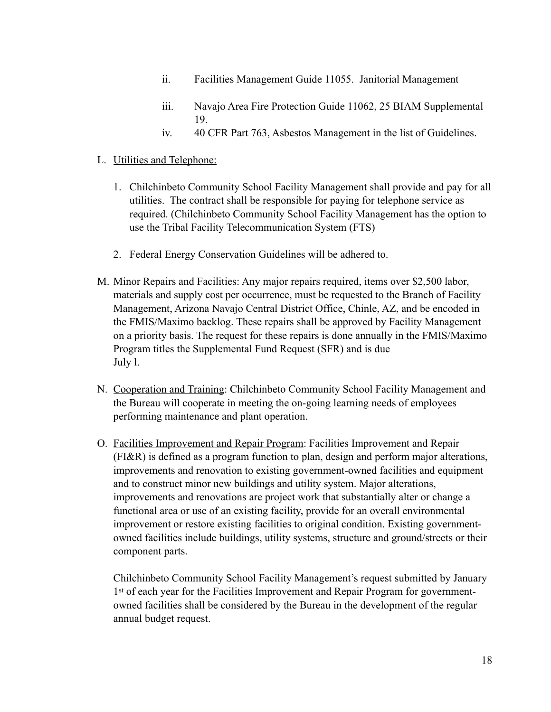- ii. Facilities Management Guide 11055. Janitorial Management
- iii. Navajo Area Fire Protection Guide 11062, 25 BIAM Supplemental 19.
- iv. 40 CFR Part 763, Asbestos Management in the list of Guidelines.

# L. Utilities and Telephone:

- 1. Chilchinbeto Community School Facility Management shall provide and pay for all utilities. The contract shall be responsible for paying for telephone service as required. (Chilchinbeto Community School Facility Management has the option to use the Tribal Facility Telecommunication System (FTS)
- 2. Federal Energy Conservation Guidelines will be adhered to.
- M. Minor Repairs and Facilities: Any major repairs required, items over \$2,500 labor, materials and supply cost per occurrence, must be requested to the Branch of Facility Management, Arizona Navajo Central District Office, Chinle, AZ, and be encoded in the FMIS/Maximo backlog. These repairs shall be approved by Facility Management on a priority basis. The request for these repairs is done annually in the FMIS/Maximo Program titles the Supplemental Fund Request (SFR) and is due July l.
- N. Cooperation and Training: Chilchinbeto Community School Facility Management and the Bureau will cooperate in meeting the on-going learning needs of employees performing maintenance and plant operation.
- O. Facilities Improvement and Repair Program: Facilities Improvement and Repair (FI&R) is defined as a program function to plan, design and perform major alterations, improvements and renovation to existing government-owned facilities and equipment and to construct minor new buildings and utility system. Major alterations, improvements and renovations are project work that substantially alter or change a functional area or use of an existing facility, provide for an overall environmental improvement or restore existing facilities to original condition. Existing governmentowned facilities include buildings, utility systems, structure and ground/streets or their component parts.

Chilchinbeto Community School Facility Management's request submitted by January 1st of each year for the Facilities Improvement and Repair Program for governmentowned facilities shall be considered by the Bureau in the development of the regular annual budget request.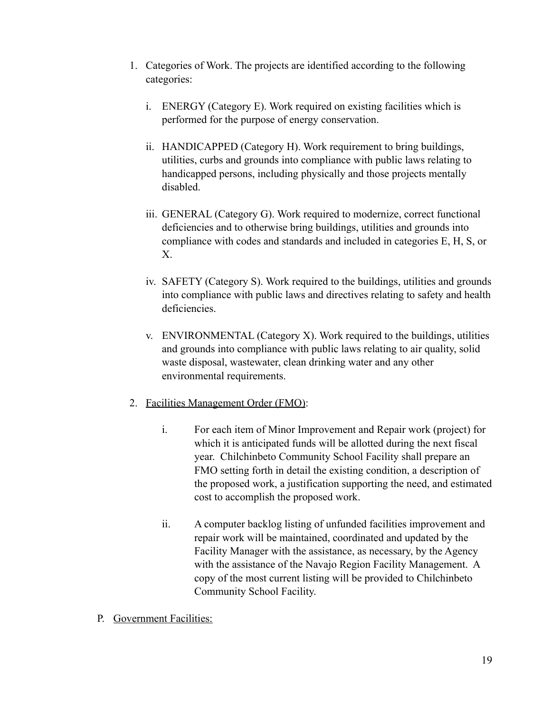- 1. Categories of Work. The projects are identified according to the following categories:
	- i. ENERGY (Category E). Work required on existing facilities which is performed for the purpose of energy conservation.
	- ii. HANDICAPPED (Category H). Work requirement to bring buildings, utilities, curbs and grounds into compliance with public laws relating to handicapped persons, including physically and those projects mentally disabled.
	- iii. GENERAL (Category G). Work required to modernize, correct functional deficiencies and to otherwise bring buildings, utilities and grounds into compliance with codes and standards and included in categories E, H, S, or X.
	- iv. SAFETY (Category S). Work required to the buildings, utilities and grounds into compliance with public laws and directives relating to safety and health deficiencies.
	- v. ENVIRONMENTAL (Category X). Work required to the buildings, utilities and grounds into compliance with public laws relating to air quality, solid waste disposal, wastewater, clean drinking water and any other environmental requirements.
- 2. Facilities Management Order (FMO):
	- i. For each item of Minor Improvement and Repair work (project) for which it is anticipated funds will be allotted during the next fiscal year. Chilchinbeto Community School Facility shall prepare an FMO setting forth in detail the existing condition, a description of the proposed work, a justification supporting the need, and estimated cost to accomplish the proposed work.
	- ii. A computer backlog listing of unfunded facilities improvement and repair work will be maintained, coordinated and updated by the Facility Manager with the assistance, as necessary, by the Agency with the assistance of the Navajo Region Facility Management. A copy of the most current listing will be provided to Chilchinbeto Community School Facility.
- P. Government Facilities: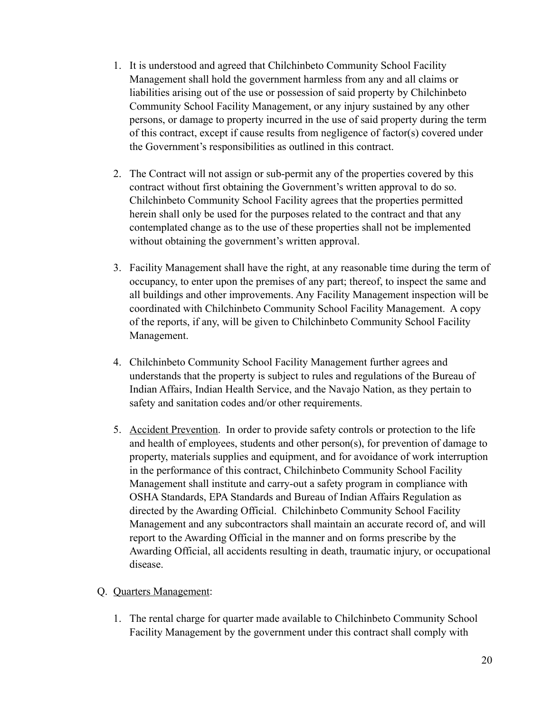- 1. It is understood and agreed that Chilchinbeto Community School Facility Management shall hold the government harmless from any and all claims or liabilities arising out of the use or possession of said property by Chilchinbeto Community School Facility Management, or any injury sustained by any other persons, or damage to property incurred in the use of said property during the term of this contract, except if cause results from negligence of factor(s) covered under the Government's responsibilities as outlined in this contract.
- 2. The Contract will not assign or sub-permit any of the properties covered by this contract without first obtaining the Government's written approval to do so. Chilchinbeto Community School Facility agrees that the properties permitted herein shall only be used for the purposes related to the contract and that any contemplated change as to the use of these properties shall not be implemented without obtaining the government's written approval.
- 3. Facility Management shall have the right, at any reasonable time during the term of occupancy, to enter upon the premises of any part; thereof, to inspect the same and all buildings and other improvements. Any Facility Management inspection will be coordinated with Chilchinbeto Community School Facility Management. A copy of the reports, if any, will be given to Chilchinbeto Community School Facility Management.
- 4. Chilchinbeto Community School Facility Management further agrees and understands that the property is subject to rules and regulations of the Bureau of Indian Affairs, Indian Health Service, and the Navajo Nation, as they pertain to safety and sanitation codes and/or other requirements.
- 5. Accident Prevention. In order to provide safety controls or protection to the life and health of employees, students and other person(s), for prevention of damage to property, materials supplies and equipment, and for avoidance of work interruption in the performance of this contract, Chilchinbeto Community School Facility Management shall institute and carry-out a safety program in compliance with OSHA Standards, EPA Standards and Bureau of Indian Affairs Regulation as directed by the Awarding Official. Chilchinbeto Community School Facility Management and any subcontractors shall maintain an accurate record of, and will report to the Awarding Official in the manner and on forms prescribe by the Awarding Official, all accidents resulting in death, traumatic injury, or occupational disease.

## Q. Quarters Management:

1. The rental charge for quarter made available to Chilchinbeto Community School Facility Management by the government under this contract shall comply with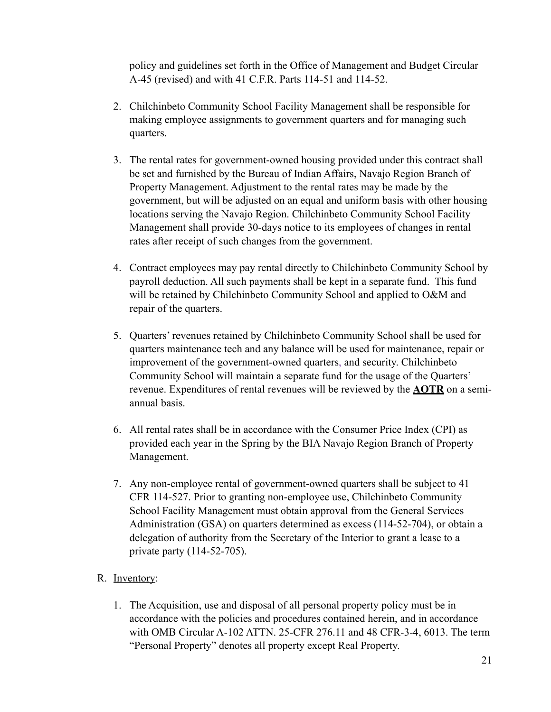policy and guidelines set forth in the Office of Management and Budget Circular A-45 (revised) and with 41 C.F.R. Parts 114-51 and 114-52.

- 2. Chilchinbeto Community School Facility Management shall be responsible for making employee assignments to government quarters and for managing such quarters.
- 3. The rental rates for government-owned housing provided under this contract shall be set and furnished by the Bureau of Indian Affairs, Navajo Region Branch of Property Management. Adjustment to the rental rates may be made by the government, but will be adjusted on an equal and uniform basis with other housing locations serving the Navajo Region. Chilchinbeto Community School Facility Management shall provide 30-days notice to its employees of changes in rental rates after receipt of such changes from the government.
- 4. Contract employees may pay rental directly to Chilchinbeto Community School by payroll deduction. All such payments shall be kept in a separate fund. This fund will be retained by Chilchinbeto Community School and applied to O&M and repair of the quarters.
- 5. Quarters' revenues retained by Chilchinbeto Community School shall be used for quarters maintenance tech and any balance will be used for maintenance, repair or improvement of the government-owned quarters, and security. Chilchinbeto Community School will maintain a separate fund for the usage of the Quarters' revenue. Expenditures of rental revenues will be reviewed by the **AOTR** on a semiannual basis.
- 6. All rental rates shall be in accordance with the Consumer Price Index (CPI) as provided each year in the Spring by the BIA Navajo Region Branch of Property Management.
- 7. Any non-employee rental of government-owned quarters shall be subject to 41 CFR 114-527. Prior to granting non-employee use, Chilchinbeto Community School Facility Management must obtain approval from the General Services Administration (GSA) on quarters determined as excess (114-52-704), or obtain a delegation of authority from the Secretary of the Interior to grant a lease to a private party (114-52-705).

# R. Inventory:

1. The Acquisition, use and disposal of all personal property policy must be in accordance with the policies and procedures contained herein, and in accordance with OMB Circular A-102 ATTN. 25-CFR 276.11 and 48 CFR-3-4, 6013. The term "Personal Property" denotes all property except Real Property.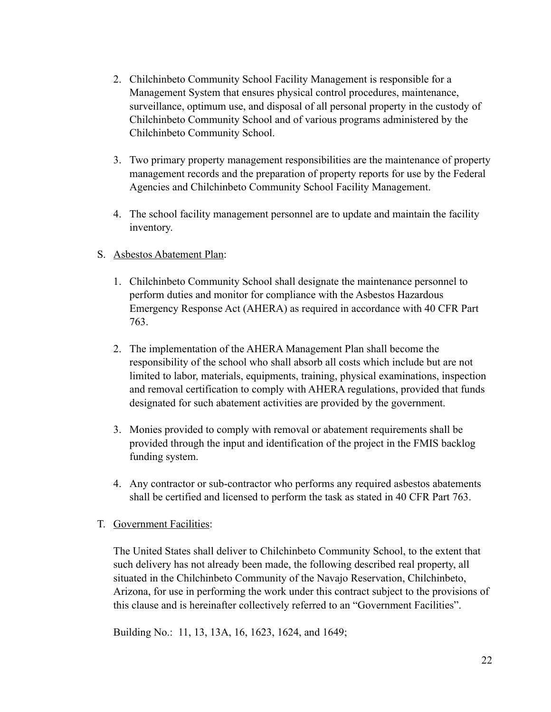- 2. Chilchinbeto Community School Facility Management is responsible for a Management System that ensures physical control procedures, maintenance, surveillance, optimum use, and disposal of all personal property in the custody of Chilchinbeto Community School and of various programs administered by the Chilchinbeto Community School.
- 3. Two primary property management responsibilities are the maintenance of property management records and the preparation of property reports for use by the Federal Agencies and Chilchinbeto Community School Facility Management.
- 4. The school facility management personnel are to update and maintain the facility inventory.
- S. Asbestos Abatement Plan:
	- 1. Chilchinbeto Community School shall designate the maintenance personnel to perform duties and monitor for compliance with the Asbestos Hazardous Emergency Response Act (AHERA) as required in accordance with 40 CFR Part 763.
	- 2. The implementation of the AHERA Management Plan shall become the responsibility of the school who shall absorb all costs which include but are not limited to labor, materials, equipments, training, physical examinations, inspection and removal certification to comply with AHERA regulations, provided that funds designated for such abatement activities are provided by the government.
	- 3. Monies provided to comply with removal or abatement requirements shall be provided through the input and identification of the project in the FMIS backlog funding system.
	- 4. Any contractor or sub-contractor who performs any required asbestos abatements shall be certified and licensed to perform the task as stated in 40 CFR Part 763.
- T. Government Facilities:

The United States shall deliver to Chilchinbeto Community School, to the extent that such delivery has not already been made, the following described real property, all situated in the Chilchinbeto Community of the Navajo Reservation, Chilchinbeto, Arizona, for use in performing the work under this contract subject to the provisions of this clause and is hereinafter collectively referred to an "Government Facilities".

Building No.: 11, 13, 13A, 16, 1623, 1624, and 1649;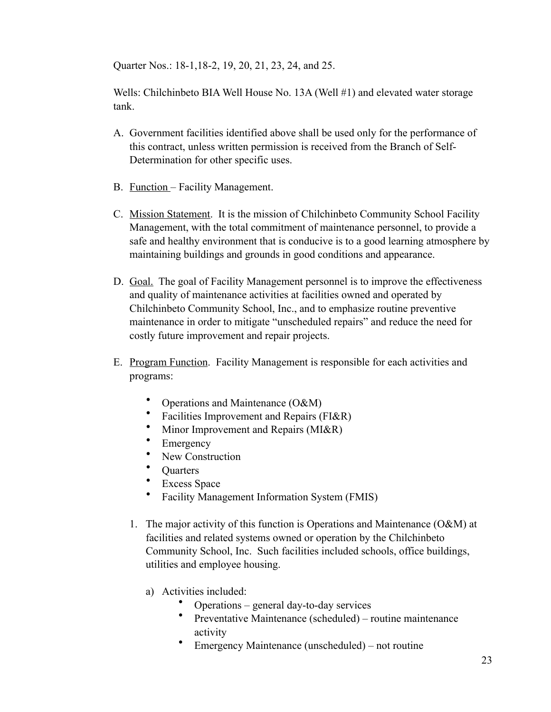Quarter Nos.: 18-1,18-2, 19, 20, 21, 23, 24, and 25.

Wells: Chilchinbeto BIA Well House No. 13A (Well #1) and elevated water storage tank.

- A. Government facilities identified above shall be used only for the performance of this contract, unless written permission is received from the Branch of Self-Determination for other specific uses.
- B. **Function** Facility Management.
- C. Mission Statement. It is the mission of Chilchinbeto Community School Facility Management, with the total commitment of maintenance personnel, to provide a safe and healthy environment that is conducive is to a good learning atmosphere by maintaining buildings and grounds in good conditions and appearance.
- D. Goal. The goal of Facility Management personnel is to improve the effectiveness and quality of maintenance activities at facilities owned and operated by Chilchinbeto Community School, Inc., and to emphasize routine preventive maintenance in order to mitigate "unscheduled repairs" and reduce the need for costly future improvement and repair projects.
- E. Program Function. Facility Management is responsible for each activities and programs:
	- Operations and Maintenance (O&M)
	- Facilities Improvement and Repairs (FI&R)
	- Minor Improvement and Repairs (MI&R)
	- **Emergency**
	- New Construction
	- **Quarters**
	- Excess Space
	- Facility Management Information System (FMIS)
	- 1. The major activity of this function is Operations and Maintenance (O&M) at facilities and related systems owned or operation by the Chilchinbeto Community School, Inc. Such facilities included schools, office buildings, utilities and employee housing.
		- a) Activities included:
			- Operations general day-to-day services
			- Preventative Maintenance (scheduled) routine maintenance activity
			- Emergency Maintenance (unscheduled) not routine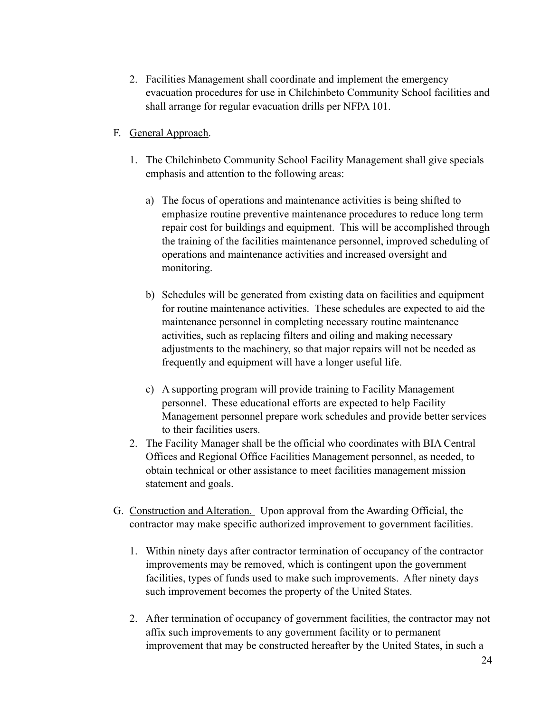- 2. Facilities Management shall coordinate and implement the emergency evacuation procedures for use in Chilchinbeto Community School facilities and shall arrange for regular evacuation drills per NFPA 101.
- F. General Approach.
	- 1. The Chilchinbeto Community School Facility Management shall give specials emphasis and attention to the following areas:
		- a) The focus of operations and maintenance activities is being shifted to emphasize routine preventive maintenance procedures to reduce long term repair cost for buildings and equipment. This will be accomplished through the training of the facilities maintenance personnel, improved scheduling of operations and maintenance activities and increased oversight and monitoring.
		- b) Schedules will be generated from existing data on facilities and equipment for routine maintenance activities. These schedules are expected to aid the maintenance personnel in completing necessary routine maintenance activities, such as replacing filters and oiling and making necessary adjustments to the machinery, so that major repairs will not be needed as frequently and equipment will have a longer useful life.
		- c) A supporting program will provide training to Facility Management personnel. These educational efforts are expected to help Facility Management personnel prepare work schedules and provide better services to their facilities users.
	- 2. The Facility Manager shall be the official who coordinates with BIA Central Offices and Regional Office Facilities Management personnel, as needed, to obtain technical or other assistance to meet facilities management mission statement and goals.
- G. Construction and Alteration. Upon approval from the Awarding Official, the contractor may make specific authorized improvement to government facilities.
	- 1. Within ninety days after contractor termination of occupancy of the contractor improvements may be removed, which is contingent upon the government facilities, types of funds used to make such improvements. After ninety days such improvement becomes the property of the United States.
	- 2. After termination of occupancy of government facilities, the contractor may not affix such improvements to any government facility or to permanent improvement that may be constructed hereafter by the United States, in such a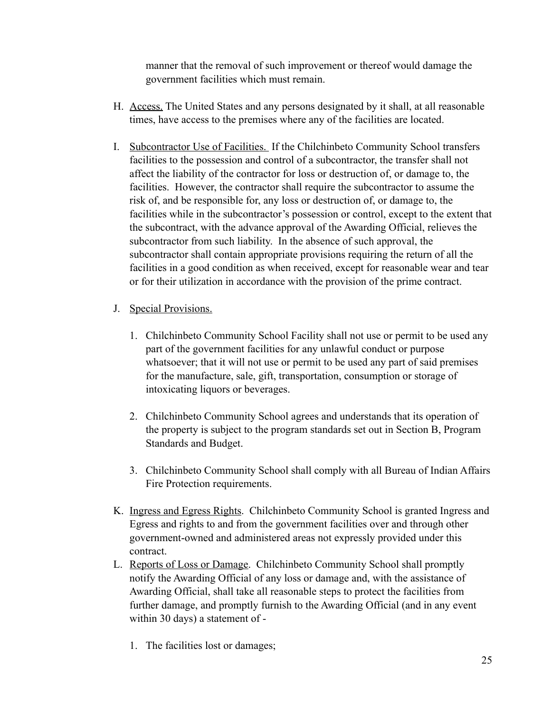manner that the removal of such improvement or thereof would damage the government facilities which must remain.

- H. Access. The United States and any persons designated by it shall, at all reasonable times, have access to the premises where any of the facilities are located.
- I. Subcontractor Use of Facilities. If the Chilchinbeto Community School transfers facilities to the possession and control of a subcontractor, the transfer shall not affect the liability of the contractor for loss or destruction of, or damage to, the facilities. However, the contractor shall require the subcontractor to assume the risk of, and be responsible for, any loss or destruction of, or damage to, the facilities while in the subcontractor's possession or control, except to the extent that the subcontract, with the advance approval of the Awarding Official, relieves the subcontractor from such liability. In the absence of such approval, the subcontractor shall contain appropriate provisions requiring the return of all the facilities in a good condition as when received, except for reasonable wear and tear or for their utilization in accordance with the provision of the prime contract.
- J. Special Provisions.
	- 1. Chilchinbeto Community School Facility shall not use or permit to be used any part of the government facilities for any unlawful conduct or purpose whatsoever; that it will not use or permit to be used any part of said premises for the manufacture, sale, gift, transportation, consumption or storage of intoxicating liquors or beverages.
	- 2. Chilchinbeto Community School agrees and understands that its operation of the property is subject to the program standards set out in Section B, Program Standards and Budget.
	- 3. Chilchinbeto Community School shall comply with all Bureau of Indian Affairs Fire Protection requirements.
- K. Ingress and Egress Rights. Chilchinbeto Community School is granted Ingress and Egress and rights to and from the government facilities over and through other government-owned and administered areas not expressly provided under this contract.
- L. Reports of Loss or Damage. Chilchinbeto Community School shall promptly notify the Awarding Official of any loss or damage and, with the assistance of Awarding Official, shall take all reasonable steps to protect the facilities from further damage, and promptly furnish to the Awarding Official (and in any event within 30 days) a statement of -
	- 1. The facilities lost or damages;